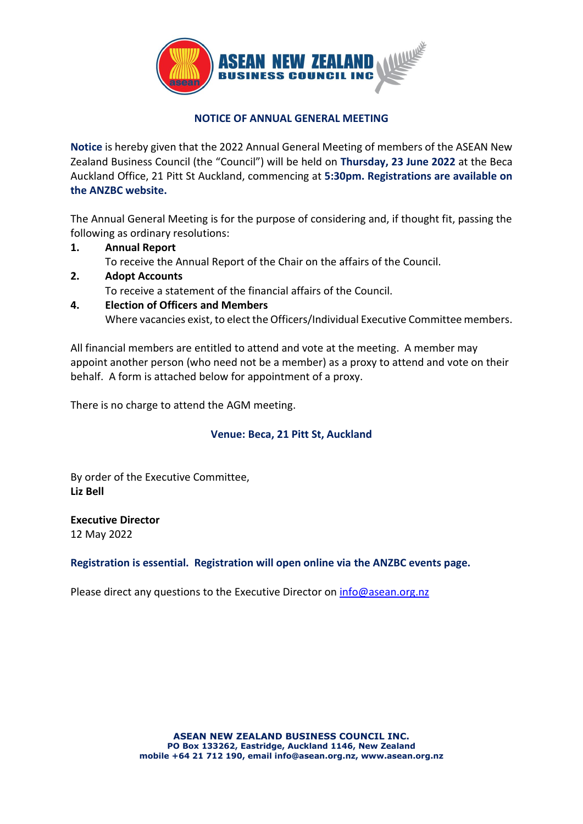

## **NOTICE OF ANNUAL GENERAL MEETING**

**Notice** is hereby given that the 2022 Annual General Meeting of members of the ASEAN New Zealand Business Council (the "Council") will be held on **Thursday, 23 June 2022** at the Beca Auckland Office, 21 Pitt St Auckland, commencing at **5:30pm. Registrations are available on the ANZBC website.**

The Annual General Meeting is for the purpose of considering and, if thought fit, passing the following as ordinary resolutions:

- **1. Annual Report** To receive the Annual Report of the Chair on the affairs of the Council.
- **2. Adopt Accounts** To receive a statement of the financial affairs of the Council.
- **4. Election of Officers and Members** Where vacancies exist, to elect the Officers/Individual Executive Committee members.

All financial members are entitled to attend and vote at the meeting. A member may appoint another person (who need not be a member) as a proxy to attend and vote on their behalf. A form is attached below for appointment of a proxy.

There is no charge to attend the AGM meeting.

## **Venue: Beca, 21 Pitt St, Auckland**

By order of the Executive Committee, **Liz Bell**

**Executive Director** 12 May 2022

## **Registration is essential. Registration will open online via the ANZBC events page.**

Please direct any questions to the Executive Director on  $info@$ asean.org.nz